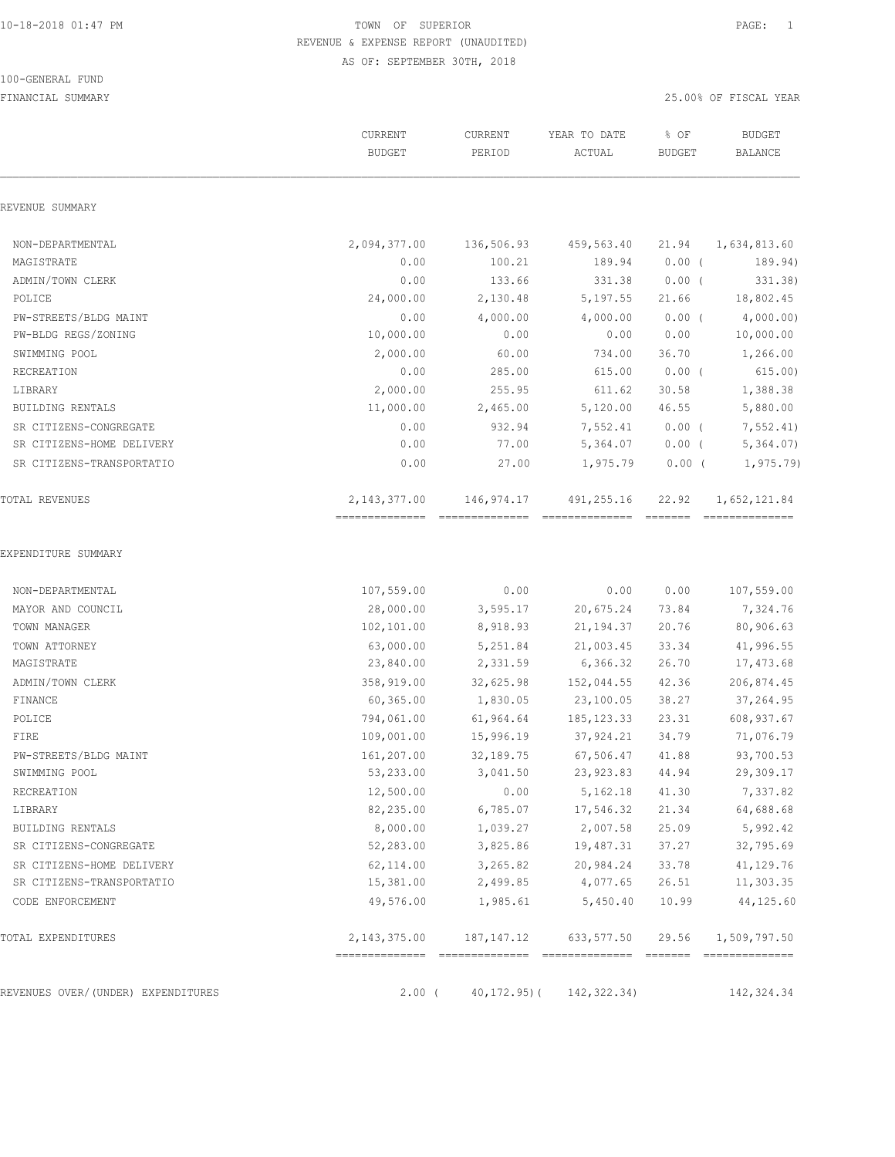#### 100-GENERAL FUND

|                                    | CURRENT<br><b>BUDGET</b> | CURRENT<br>PERIOD | YEAR TO DATE<br>ACTUAL | % OF<br><b>BUDGET</b> | <b>BUDGET</b><br>BALANCE        |
|------------------------------------|--------------------------|-------------------|------------------------|-----------------------|---------------------------------|
| REVENUE SUMMARY                    |                          |                   |                        |                       |                                 |
| NON-DEPARTMENTAL                   | 2,094,377.00             | 136,506.93        | 459,563.40             | 21.94                 | 1,634,813.60                    |
| MAGISTRATE                         | 0.00                     | 100.21            | 189.94                 | $0.00$ (              | 189.94)                         |
| ADMIN/TOWN CLERK                   | 0.00                     | 133.66            | 331.38                 | $0.00$ (              | 331.38)                         |
| POLICE                             | 24,000.00                | 2,130.48          | 5,197.55               | 21.66                 | 18,802.45                       |
| PW-STREETS/BLDG MAINT              | 0.00                     | 4,000.00          | 4,000.00               | $0.00$ (              | 4,000.00)                       |
| PW-BLDG REGS/ZONING                | 10,000.00                | 0.00              | 0.00                   | 0.00                  | 10,000.00                       |
| SWIMMING POOL                      | 2,000.00                 | 60.00             | 734.00                 | 36.70                 | 1,266.00                        |
| RECREATION                         | 0.00                     | 285.00            | 615.00                 | $0.00$ (              | 615.00)                         |
| LIBRARY                            | 2,000.00                 | 255.95            | 611.62                 | 30.58                 | 1,388.38                        |
| <b>BUILDING RENTALS</b>            | 11,000.00                | 2,465.00          | 5,120.00               | 46.55                 | 5,880.00                        |
| SR CITIZENS-CONGREGATE             | 0.00                     | 932.94            | 7,552.41               | $0.00$ (              | 7, 552.41                       |
| SR CITIZENS-HOME DELIVERY          | 0.00                     | 77.00             | 5,364.07               | $0.00$ (              | 5,364.07                        |
| SR CITIZENS-TRANSPORTATIO          | 0.00                     | 27.00             | 1,975.79               | $0.00$ (              | 1, 975.79                       |
| <b>TOTAL REVENUES</b>              | 2, 143, 377.00           | 146,974.17        | 491,255.16             | 22.92                 | 1,652,121.84<br>--------------- |
| EXPENDITURE SUMMARY                |                          |                   |                        |                       |                                 |
| NON-DEPARTMENTAL                   | 107,559.00               | 0.00              | 0.00                   | 0.00                  | 107,559.00                      |
| MAYOR AND COUNCIL                  | 28,000.00                | 3,595.17          | 20,675.24              | 73.84                 | 7,324.76                        |
| TOWN MANAGER                       | 102,101.00               | 8,918.93          | 21, 194.37             | 20.76                 | 80,906.63                       |
| TOWN ATTORNEY                      | 63,000.00                | 5,251.84          | 21,003.45              | 33.34                 | 41,996.55                       |
| MAGISTRATE                         | 23,840.00                | 2,331.59          | 6,366.32               | 26.70                 | 17,473.68                       |
| ADMIN/TOWN CLERK                   | 358,919.00               | 32,625.98         | 152,044.55             | 42.36                 | 206,874.45                      |
| FINANCE                            | 60, 365.00               | 1,830.05          | 23,100.05              | 38.27                 | 37,264.95                       |
| POLICE                             | 794,061.00               | 61,964.64         | 185, 123.33            | 23.31                 | 608,937.67                      |
| FIRE                               | 109,001.00               | 15,996.19         | 37, 924.21             | 34.79                 | 71,076.79                       |
| PW-STREETS/BLDG MAINT              | 161,207.00               | 32,189.75         | 67,506.47              | 41.88                 | 93,700.53                       |
| SWIMMING POOL                      | 53,233.00                | 3,041.50          | 23,923.83              | 44.94                 | 29,309.17                       |
| RECREATION                         | 12,500.00                | 0.00              | 5,162.18               | 41.30                 | 7,337.82                        |
| LIBRARY                            | 82,235.00                | 6,785.07          | 17,546.32              | 21.34                 | 64,688.68                       |
| BUILDING RENTALS                   | 8,000.00                 | 1,039.27          | 2,007.58               | 25.09                 | 5,992.42                        |
| SR CITIZENS-CONGREGATE             | 52,283.00                | 3,825.86          | 19,487.31              | 37.27                 | 32,795.69                       |
| SR CITIZENS-HOME DELIVERY          | 62,114.00                | 3,265.82          | 20,984.24              | 33.78                 | 41,129.76                       |
| SR CITIZENS-TRANSPORTATIO          | 15,381.00                | 2,499.85          | 4,077.65               | 26.51                 | 11,303.35                       |
| CODE ENFORCEMENT                   | 49,576.00                | 1,985.61          | 5,450.40               | 10.99                 | 44,125.60                       |
| TOTAL EXPENDITURES                 | 2, 143, 375.00           | 187,147.12        | 633,577.50             | 29.56                 | 1,509,797.50                    |
|                                    |                          |                   |                        |                       |                                 |
| REVENUES OVER/(UNDER) EXPENDITURES | $2.00$ (                 | $40, 172.95$ ) (  | 142, 322.34)           |                       | 142, 324.34                     |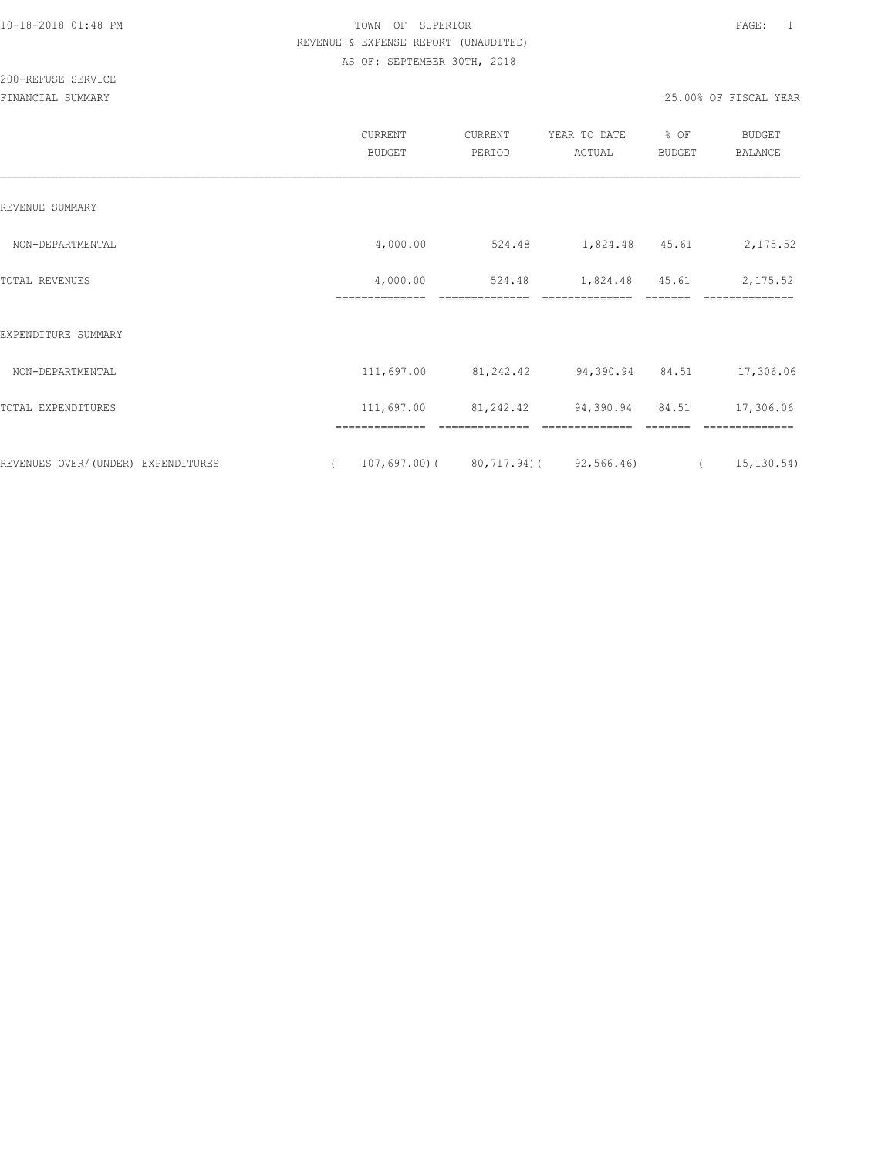## 200-REFUSE SERVICE

|                                    |          | CURRENT<br><b>BUDGET</b>   | CURRENT<br>PERIOD | YEAR TO DATE<br>ACTUAL                                 | % OF<br>BUDGET | <b>BUDGET</b><br><b>BALANCE</b>                     |
|------------------------------------|----------|----------------------------|-------------------|--------------------------------------------------------|----------------|-----------------------------------------------------|
| REVENUE SUMMARY                    |          |                            |                   |                                                        |                |                                                     |
| NON-DEPARTMENTAL                   |          | 4,000.00                   | 524.48            | 1,824.48 45.61                                         |                | 2,175.52                                            |
| <b>TOTAL REVENUES</b>              |          | 4,000.00<br>============== | 524.48            | 1,824.48                                               | 45.61          | 2,175.52                                            |
| EXPENDITURE SUMMARY                |          |                            |                   |                                                        |                |                                                     |
| NON-DEPARTMENTAL                   |          | 111,697.00                 | 81,242.42         | 94,390.94 84.51                                        |                | 17,306.06                                           |
| TOTAL EXPENDITURES                 |          | 111,697.00                 | 81,242.42         | 94,390.94                                              | 84.51          | 17,306.06                                           |
| REVENUES OVER/(UNDER) EXPENDITURES | $\left($ | ==============             | ==============    | --------------<br>$107,697.00$ (80,717.94) (92,566.46) |                | ==============<br>15,130.54)<br>$\sim$ 0.000 $\sim$ |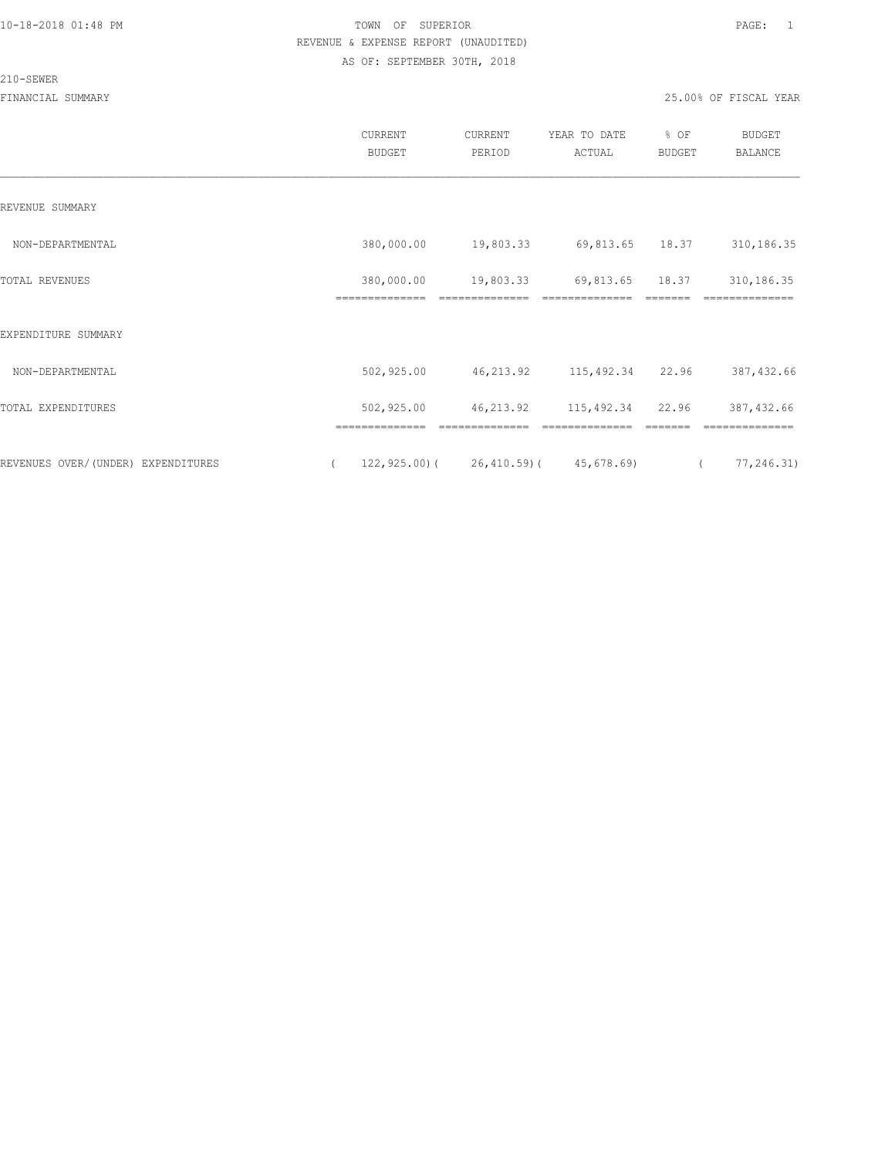#### 210-SEWER

|                                    | CURRENT<br><b>BUDGET</b>     | CURRENT<br>PERIOD                                                                                                                                                                                                                                                                                                                                                                                                                                                                                         | YEAR TO DATE<br>ACTUAL      | % OF<br>BUDGET | <b>BUDGET</b><br><b>BALANCE</b> |
|------------------------------------|------------------------------|-----------------------------------------------------------------------------------------------------------------------------------------------------------------------------------------------------------------------------------------------------------------------------------------------------------------------------------------------------------------------------------------------------------------------------------------------------------------------------------------------------------|-----------------------------|----------------|---------------------------------|
| REVENUE SUMMARY                    |                              |                                                                                                                                                                                                                                                                                                                                                                                                                                                                                                           |                             |                |                                 |
| NON-DEPARTMENTAL                   | 380,000.00                   | 19,803.33                                                                                                                                                                                                                                                                                                                                                                                                                                                                                                 | 69,813.65 18.37             |                | 310,186.35                      |
| TOTAL REVENUES                     | 380,000.00<br>============== | 19,803.33<br>$\begin{array}{c} \multicolumn{2}{c} {\textbf{1}} & \multicolumn{2}{c} {\textbf{2}} & \multicolumn{2}{c} {\textbf{3}} & \multicolumn{2}{c} {\textbf{4}} \\ \multicolumn{2}{c} {\textbf{5}} & \multicolumn{2}{c} {\textbf{6}} & \multicolumn{2}{c} {\textbf{7}} & \multicolumn{2}{c} {\textbf{8}} & \multicolumn{2}{c} {\textbf{9}} \\ \multicolumn{2}{c} {\textbf{1}} & \multicolumn{2}{c} {\textbf{1}} & \multicolumn{2}{c} {\textbf{1}} & \multicolumn{2}{c} {\textbf{1}} & \multicolumn{$ | 69,813.65<br>============== | 18.37          | 310,186.35<br>==============    |
| EXPENDITURE SUMMARY                |                              |                                                                                                                                                                                                                                                                                                                                                                                                                                                                                                           |                             |                |                                 |
| NON-DEPARTMENTAL                   | 502,925.00                   | 46,213.92                                                                                                                                                                                                                                                                                                                                                                                                                                                                                                 | 115,492.34 22.96            |                | 387, 432.66                     |
| TOTAL EXPENDITURES                 | 502,925.00                   | 46,213.92                                                                                                                                                                                                                                                                                                                                                                                                                                                                                                 | 115,492.34 22.96            |                | 387, 432.66                     |
| REVENUES OVER/(UNDER) EXPENDITURES | $\left($                     | $122, 925.00$ ( $26, 410.59$ ( $45, 678.69$ )                                                                                                                                                                                                                                                                                                                                                                                                                                                             |                             |                | 77,246.31)<br>$\sqrt{2}$        |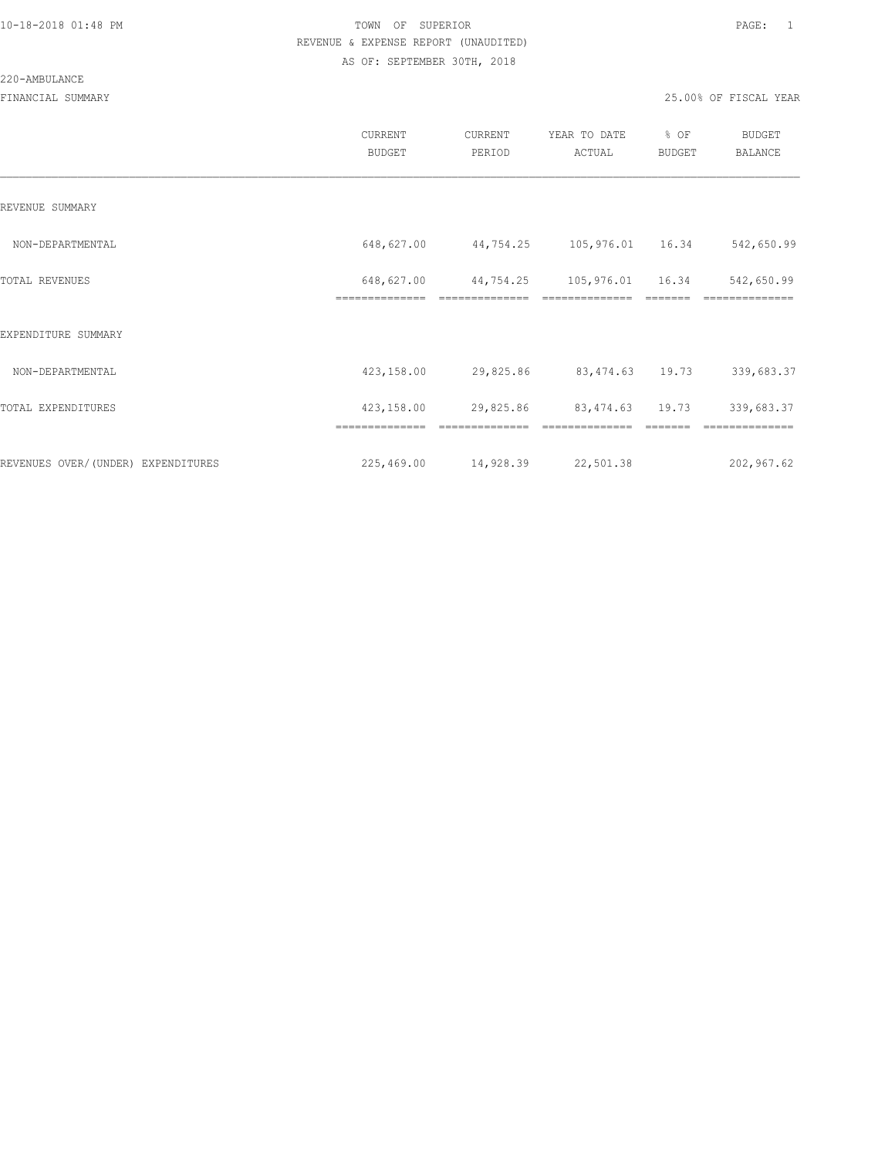#### 220-AMBULANCE

|                                     | <b>CURRENT</b><br><b>BUDGET</b> | CURRENT<br>PERIOD           | YEAR TO DATE<br>ACTUAL             | % OF<br><b>BUDGET</b> | <b>BUDGET</b><br>BALANCE |
|-------------------------------------|---------------------------------|-----------------------------|------------------------------------|-----------------------|--------------------------|
| REVENUE SUMMARY                     |                                 |                             |                                    |                       |                          |
| NON-DEPARTMENTAL                    | 648,627.00                      | 44,754.25                   | 105,976.01 16.34                   |                       | 542,650.99               |
| TOTAL REVENUES                      | 648,627.00<br>==============    | 44,754.25<br>============== | 105,976.01 16.34<br>============== |                       | 542,650.99<br>========== |
| EXPENDITURE SUMMARY                 |                                 |                             |                                    |                       |                          |
| NON-DEPARTMENTAL                    | 423,158.00                      | 29,825.86                   | 83,474.63 19.73                    |                       | 339,683.37               |
| TOTAL EXPENDITURES                  | 423,158.00                      | 29,825.86                   | 83, 474.63 19.73                   |                       | 339,683.37               |
|                                     |                                 |                             |                                    |                       |                          |
| REVENUES OVER/ (UNDER) EXPENDITURES | 225,469.00                      | 14,928.39                   | 22,501.38                          |                       | 202,967.62               |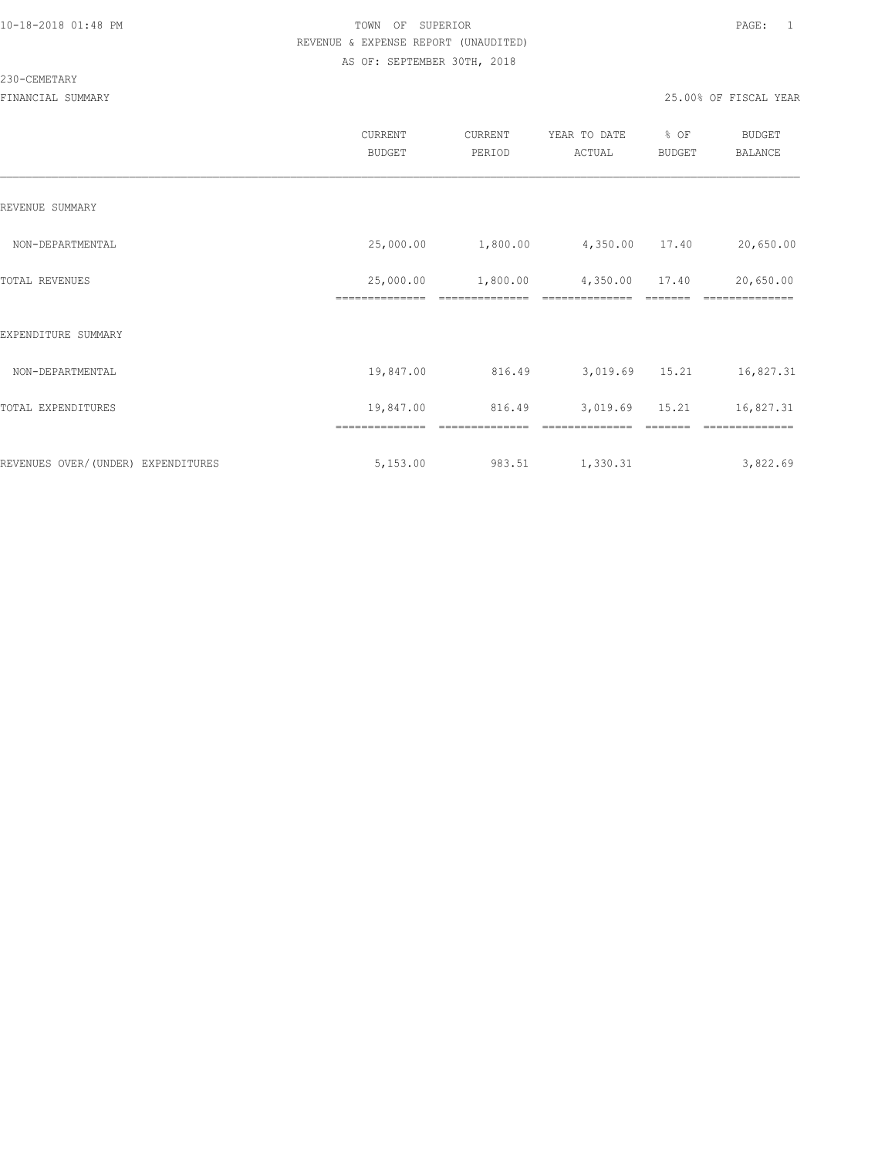#### 230-CEMETARY

|                                     | <b>CURRENT</b><br><b>BUDGET</b> | CURRENT<br>PERIOD | YEAR TO DATE<br>ACTUAL | % OF<br><b>BUDGET</b> | <b>BUDGET</b><br>BALANCE |
|-------------------------------------|---------------------------------|-------------------|------------------------|-----------------------|--------------------------|
| REVENUE SUMMARY                     |                                 |                   |                        |                       |                          |
| NON-DEPARTMENTAL                    | 25,000.00                       | 1,800.00          | 4,350.00               | 17.40                 | 20,650.00                |
| TOTAL REVENUES                      | 25,000.00                       | 1,800.00          | 4,350.00               | 17.40                 | 20,650.00                |
| EXPENDITURE SUMMARY                 |                                 |                   |                        |                       |                          |
| NON-DEPARTMENTAL                    | 19,847.00                       | 816.49            | 3,019.69               | 15.21                 | 16,827.31                |
| TOTAL EXPENDITURES                  | 19,847.00                       | 816.49            | 3,019.69               | 15.21                 | 16,827.31                |
| REVENUES OVER/ (UNDER) EXPENDITURES | ==============<br>5,153.00      | 983.51            | 1,330.31               |                       | 3,822.69                 |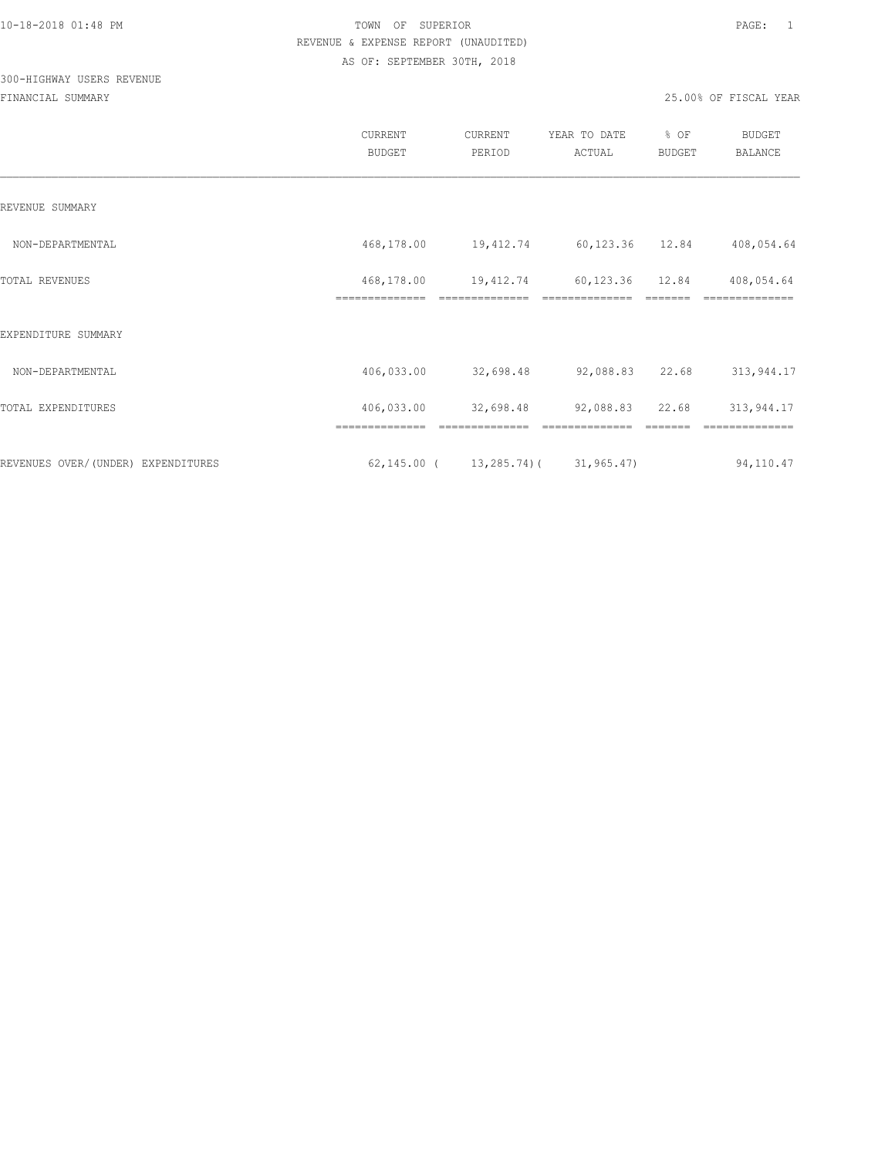## 300-HIGHWAY USERS REVENUE

|                                    | CURRENT<br><b>BUDGET</b>     | CURRENT<br>PERIOD                              | YEAR TO DATE<br>ACTUAL            | % OF<br>BUDGET | BUDGET<br><b>BALANCE</b>     |
|------------------------------------|------------------------------|------------------------------------------------|-----------------------------------|----------------|------------------------------|
| REVENUE SUMMARY                    |                              |                                                |                                   |                |                              |
| NON-DEPARTMENTAL                   | 468,178.00                   |                                                | 19,412.74 60,123.36 12.84         |                | 408,054.64                   |
| TOTAL REVENUES                     | 468,178.00<br>============== | 19,412.74                                      | 60,123.36 12.84<br>============== |                | 408,054.64                   |
| EXPENDITURE SUMMARY                |                              |                                                |                                   |                |                              |
| NON-DEPARTMENTAL                   | 406,033.00                   | 32,698.48                                      | 92,088.83                         | 22.68          | 313,944.17                   |
| TOTAL EXPENDITURES                 | 406,033.00<br>============== | 32,698.48                                      | 92,088.83<br>--------------       | 22.68          | 313,944.17<br>-------------- |
| REVENUES OVER/(UNDER) EXPENDITURES |                              | $62, 145.00$ ( $13, 285.74$ ) ( $31, 965.47$ ) |                                   |                | 94,110.47                    |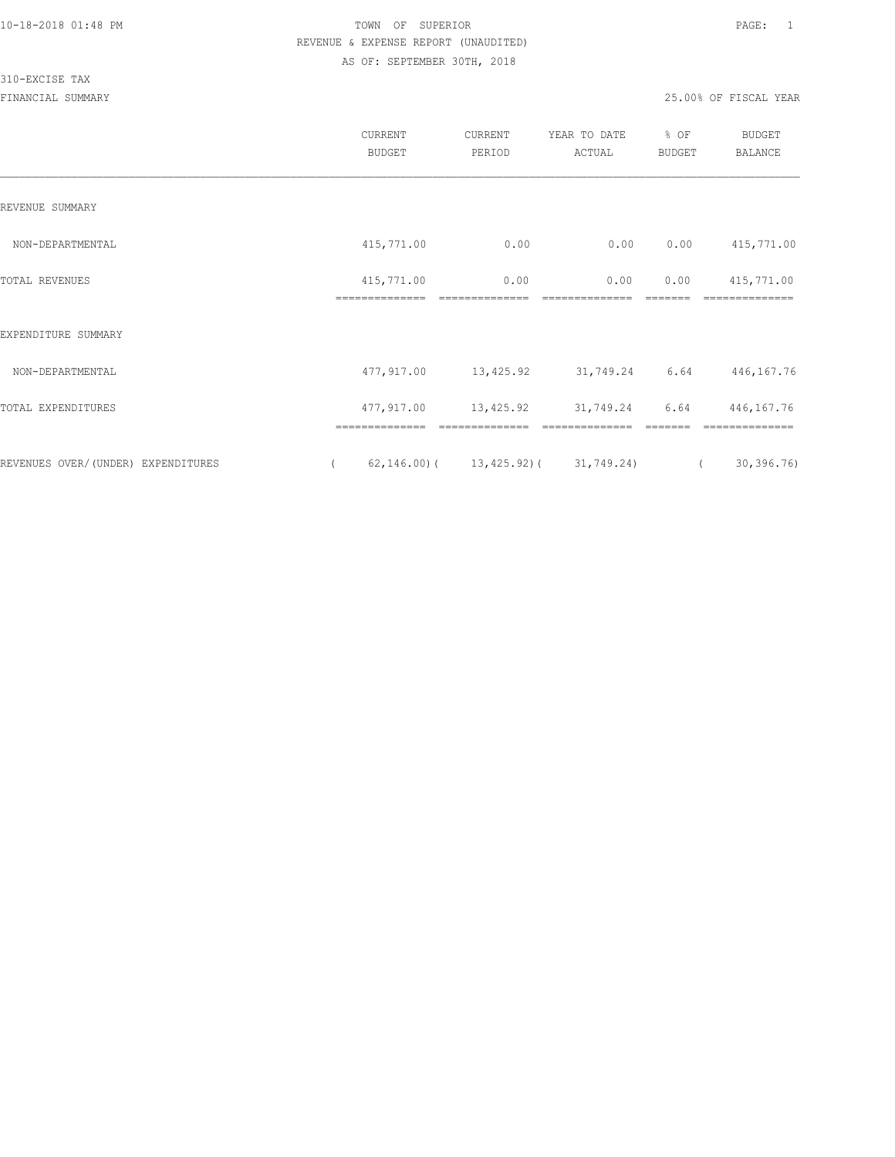#### 310-EXCISE TAX

|                                     | <b>CURRENT</b><br>BUDGET     | CURRENT<br>PERIOD                            | YEAR TO DATE<br>ACTUAL | % OF<br><b>BUDGET</b> | <b>BUDGET</b><br>BALANCE     |
|-------------------------------------|------------------------------|----------------------------------------------|------------------------|-----------------------|------------------------------|
| REVENUE SUMMARY                     |                              |                                              |                        |                       |                              |
| NON-DEPARTMENTAL                    | 415,771.00                   | 0.00                                         | 0.00                   | 0.00                  | 415,771.00                   |
| TOTAL REVENUES                      | 415,771.00<br>-------------- | 0.00<br>--------------                       | 0.00<br>-------------- | 0.00<br>=======       | 415,771.00<br>============== |
| EXPENDITURE SUMMARY                 |                              |                                              |                        |                       |                              |
| NON-DEPARTMENTAL                    | 477,917.00                   | 13,425.92                                    | 31,749.24 6.64         |                       | 446,167.76                   |
| TOTAL EXPENDITURES                  | 477,917.00                   | 13,425.92                                    | 31,749.24              | 6.64                  | 446, 167. 76                 |
|                                     |                              |                                              |                        |                       |                              |
| REVENUES OVER/ (UNDER) EXPENDITURES |                              | $62, 146.00$ ( $13, 425.92$ ( $31, 749.24$ ) |                        | $\sqrt{2}$            | 30, 396.76                   |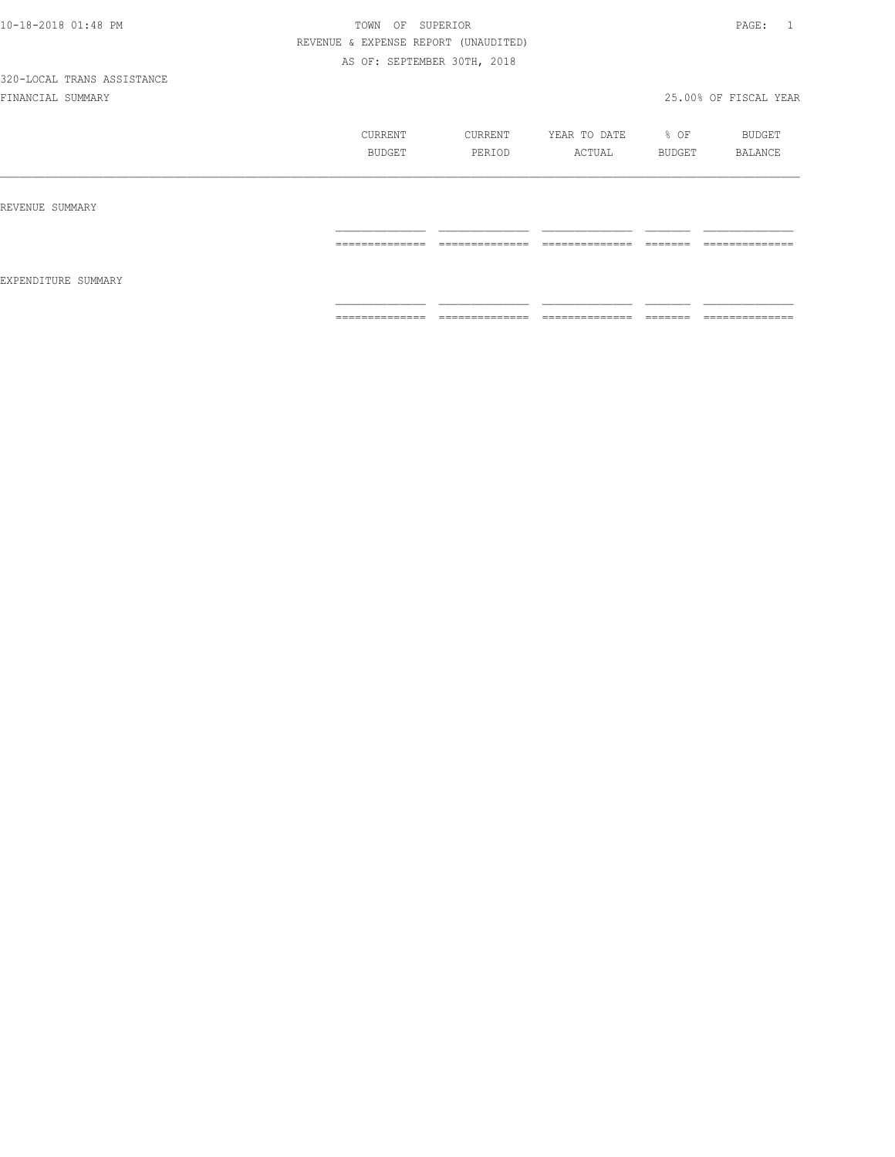# 320-LOCAL TRANS ASSISTANCE

|                     | CURRENT<br>BUDGET                                                                                                                                                                                                                                                                                                                                                                                                                                                                            | CURRENT<br>PERIOD   | YEAR TO DATE % OF<br>ACTUAL  | BUDGET               | BUDGET<br>BALANCE                                                                                                                                                                                                                                                                                                                                                                                                                                                                            |
|---------------------|----------------------------------------------------------------------------------------------------------------------------------------------------------------------------------------------------------------------------------------------------------------------------------------------------------------------------------------------------------------------------------------------------------------------------------------------------------------------------------------------|---------------------|------------------------------|----------------------|----------------------------------------------------------------------------------------------------------------------------------------------------------------------------------------------------------------------------------------------------------------------------------------------------------------------------------------------------------------------------------------------------------------------------------------------------------------------------------------------|
| REVENUE SUMMARY     | ______________<br>.                                                                                                                                                                                                                                                                                                                                                                                                                                                                          | ______________<br>. | ______________<br>---------- | --------<br>======   | ______________<br>.                                                                                                                                                                                                                                                                                                                                                                                                                                                                          |
| EXPENDITURE SUMMARY | $\begin{array}{c} \multicolumn{2}{c} {\textbf{1}} & \multicolumn{2}{c} {\textbf{2}} & \multicolumn{2}{c} {\textbf{3}} & \multicolumn{2}{c} {\textbf{4}} \\ \multicolumn{2}{c} {\textbf{2}} & \multicolumn{2}{c} {\textbf{3}} & \multicolumn{2}{c} {\textbf{4}} & \multicolumn{2}{c} {\textbf{5}} & \multicolumn{2}{c} {\textbf{6}} \\ \multicolumn{2}{c} {\textbf{4}} & \multicolumn{2}{c} {\textbf{5}} & \multicolumn{2}{c} {\textbf{6}} & \multicolumn{2}{c} {\textbf{6}} & \multicolumn{$ | ==============      | ==============               | --------<br>________ | $\begin{array}{c} \multicolumn{2}{c} {\textbf{1}} & \multicolumn{2}{c} {\textbf{2}} & \multicolumn{2}{c} {\textbf{3}} & \multicolumn{2}{c} {\textbf{4}} \\ \multicolumn{2}{c} {\textbf{5}} & \multicolumn{2}{c} {\textbf{6}} & \multicolumn{2}{c} {\textbf{7}} & \multicolumn{2}{c} {\textbf{8}} & \multicolumn{2}{c} {\textbf{9}} \\ \multicolumn{2}{c} {\textbf{1}} & \multicolumn{2}{c} {\textbf{1}} & \multicolumn{2}{c} {\textbf{1}} & \multicolumn{2}{c} {\textbf{1}} & \multicolumn{$ |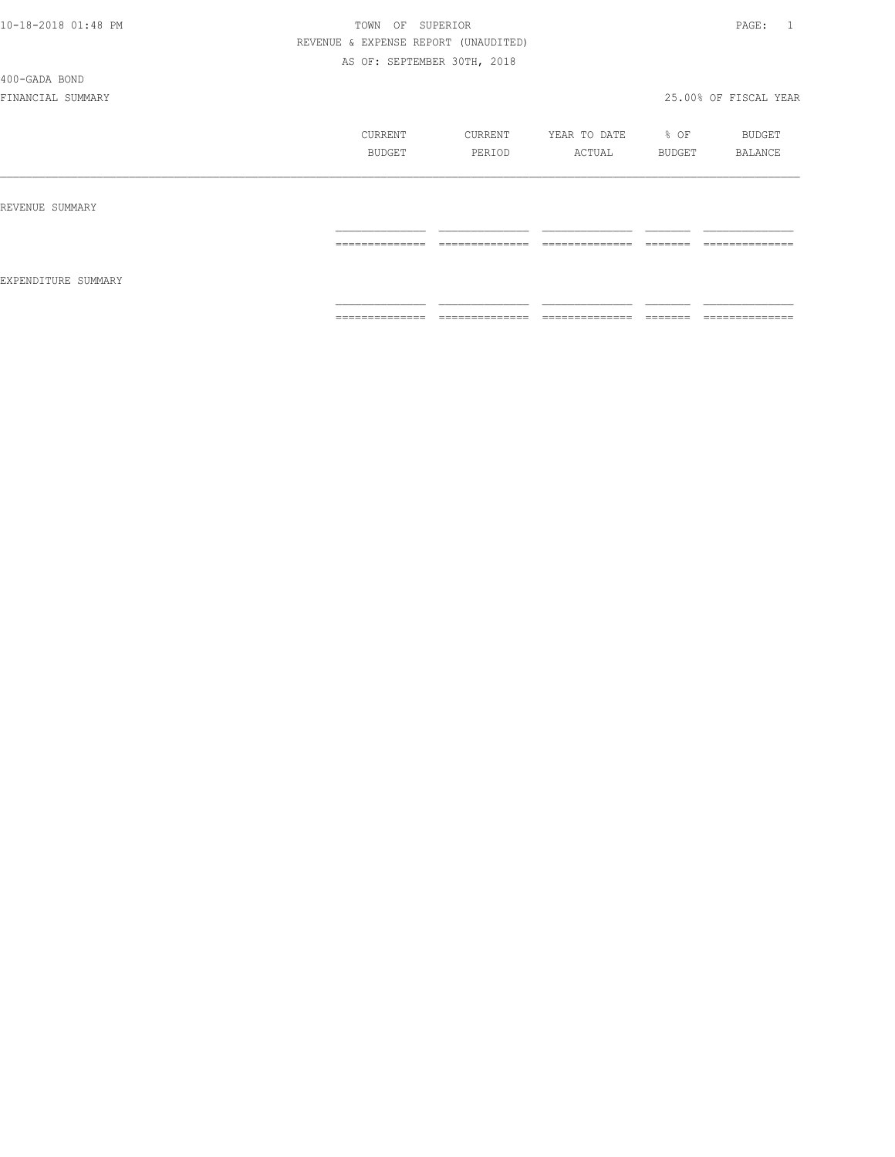#### 400-GADA BOND

|                     | CURRENT<br>BUDGET                                                                                                                                                                                                                                                                                                                                                                                                                                                                            | CURRENT<br>PERIOD                                                                                                                                                                                                                                                                                                                                                                                                                                                                         | YEAR TO DATE<br>ACTUAL                                                                                                                                                                                                                                                                                                                                                                                                                                                                 | % OF<br>BUDGET      | BUDGET<br>BALANCE                                                                                                                                                                                                                                                                                                                                                                                                                                                                            |
|---------------------|----------------------------------------------------------------------------------------------------------------------------------------------------------------------------------------------------------------------------------------------------------------------------------------------------------------------------------------------------------------------------------------------------------------------------------------------------------------------------------------------|-------------------------------------------------------------------------------------------------------------------------------------------------------------------------------------------------------------------------------------------------------------------------------------------------------------------------------------------------------------------------------------------------------------------------------------------------------------------------------------------|----------------------------------------------------------------------------------------------------------------------------------------------------------------------------------------------------------------------------------------------------------------------------------------------------------------------------------------------------------------------------------------------------------------------------------------------------------------------------------------|---------------------|----------------------------------------------------------------------------------------------------------------------------------------------------------------------------------------------------------------------------------------------------------------------------------------------------------------------------------------------------------------------------------------------------------------------------------------------------------------------------------------------|
| REVENUE SUMMARY     |                                                                                                                                                                                                                                                                                                                                                                                                                                                                                              |                                                                                                                                                                                                                                                                                                                                                                                                                                                                                           |                                                                                                                                                                                                                                                                                                                                                                                                                                                                                        |                     |                                                                                                                                                                                                                                                                                                                                                                                                                                                                                              |
|                     | $\begin{array}{c} \multicolumn{2}{c} {\textbf{1}} & \multicolumn{2}{c} {\textbf{2}} & \multicolumn{2}{c} {\textbf{3}} & \multicolumn{2}{c} {\textbf{4}} \\ \multicolumn{2}{c} {\textbf{2}} & \multicolumn{2}{c} {\textbf{3}} & \multicolumn{2}{c} {\textbf{4}} & \multicolumn{2}{c} {\textbf{5}} & \multicolumn{2}{c} {\textbf{6}} \\ \multicolumn{2}{c} {\textbf{4}} & \multicolumn{2}{c} {\textbf{5}} & \multicolumn{2}{c} {\textbf{6}} & \multicolumn{2}{c} {\textbf{6}} & \multicolumn{$ | $\begin{minipage}{0.99\linewidth} \begin{tabular}{l} \multicolumn{2}{l}{} & \multicolumn{2}{l}{} & \multicolumn{2}{l}{} \\ \multicolumn{2}{l}{} & \multicolumn{2}{l}{} & \multicolumn{2}{l}{} \\ \multicolumn{2}{l}{} & \multicolumn{2}{l}{} & \multicolumn{2}{l}{} \\ \multicolumn{2}{l}{} & \multicolumn{2}{l}{} & \multicolumn{2}{l}{} \\ \multicolumn{2}{l}{} & \multicolumn{2}{l}{} & \multicolumn{2}{l}{} \\ \multicolumn{2}{l}{} & \multicolumn{2}{l}{} & \multicolumn{2}{l}{} \\$ | ==============                                                                                                                                                                                                                                                                                                                                                                                                                                                                         |                     | $\begin{array}{c} \multicolumn{2}{c} {\textbf{1}} & \multicolumn{2}{c} {\textbf{2}} & \multicolumn{2}{c} {\textbf{3}} & \multicolumn{2}{c} {\textbf{4}} \\ \multicolumn{2}{c} {\textbf{5}} & \multicolumn{2}{c} {\textbf{6}} & \multicolumn{2}{c} {\textbf{7}} & \multicolumn{2}{c} {\textbf{8}} & \multicolumn{2}{c} {\textbf{9}} \\ \multicolumn{2}{c} {\textbf{1}} & \multicolumn{2}{c} {\textbf{1}} & \multicolumn{2}{c} {\textbf{1}} & \multicolumn{2}{c} {\textbf{1}} & \multicolumn{$ |
| EXPENDITURE SUMMARY |                                                                                                                                                                                                                                                                                                                                                                                                                                                                                              |                                                                                                                                                                                                                                                                                                                                                                                                                                                                                           |                                                                                                                                                                                                                                                                                                                                                                                                                                                                                        |                     |                                                                                                                                                                                                                                                                                                                                                                                                                                                                                              |
|                     | $\begin{array}{c} \multicolumn{2}{c} {\textbf{1}} & \multicolumn{2}{c} {\textbf{2}} & \multicolumn{2}{c} {\textbf{3}} & \multicolumn{2}{c} {\textbf{4}} \\ \multicolumn{2}{c} {\textbf{5}} & \multicolumn{2}{c} {\textbf{6}} & \multicolumn{2}{c} {\textbf{7}} & \multicolumn{2}{c} {\textbf{8}} & \multicolumn{2}{c} {\textbf{9}} \\ \multicolumn{2}{c} {\textbf{1}} & \multicolumn{2}{c} {\textbf{1}} & \multicolumn{2}{c} {\textbf{1}} & \multicolumn{2}{c} {\textbf{1}} & \multicolumn{$ | ______________<br>_______________                                                                                                                                                                                                                                                                                                                                                                                                                                                         | $\begin{array}{cccccccccc} \multicolumn{2}{c}{} & \multicolumn{2}{c}{} & \multicolumn{2}{c}{} & \multicolumn{2}{c}{} & \multicolumn{2}{c}{} & \multicolumn{2}{c}{} & \multicolumn{2}{c}{} & \multicolumn{2}{c}{} & \multicolumn{2}{c}{} & \multicolumn{2}{c}{} & \multicolumn{2}{c}{} & \multicolumn{2}{c}{} & \multicolumn{2}{c}{} & \multicolumn{2}{c}{} & \multicolumn{2}{c}{} & \multicolumn{2}{c}{} & \multicolumn{2}{c}{} & \multicolumn{2}{c}{} & \multicolumn{2}{c}{} & \mult$ | ________<br>------- | ______________<br>---------------                                                                                                                                                                                                                                                                                                                                                                                                                                                            |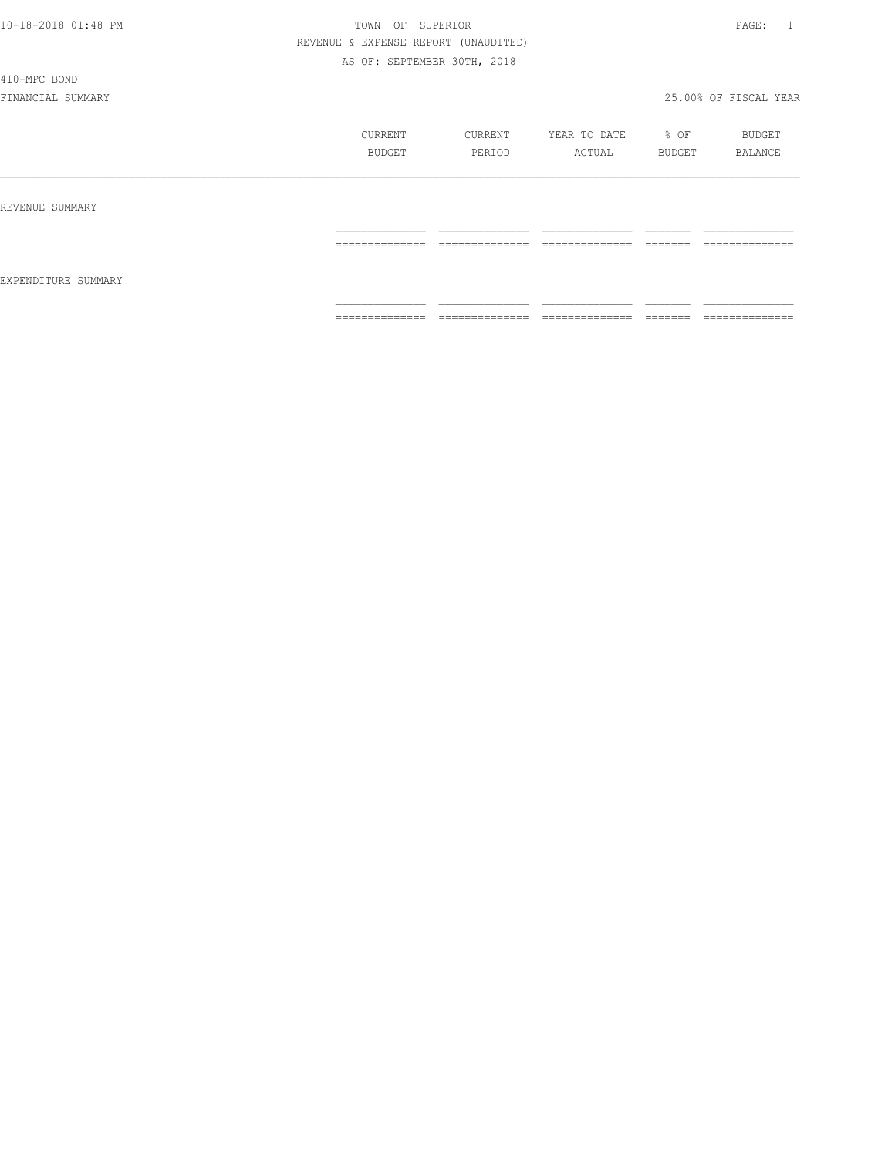#### 410-MPC BOND

|                     | CURRENT<br>BUDGET | CURRENT<br>PERIOD | YEAR TO DATE<br>ACTUAL | % OF<br>BUDGET | BUDGET<br>BALANCE |
|---------------------|-------------------|-------------------|------------------------|----------------|-------------------|
| REVENUE SUMMARY     |                   |                   |                        |                |                   |
| EXPENDITURE SUMMARY | --------------    | --------------    | --------------         | -------        | --------------    |
|                     | .                 | .                 | _______________        | ________       | _______________   |
|                     | ---------------   | ---------------   | ---------------        | -------        | --------------    |
|                     | ---------------   | .                 | .                      | ------         | .                 |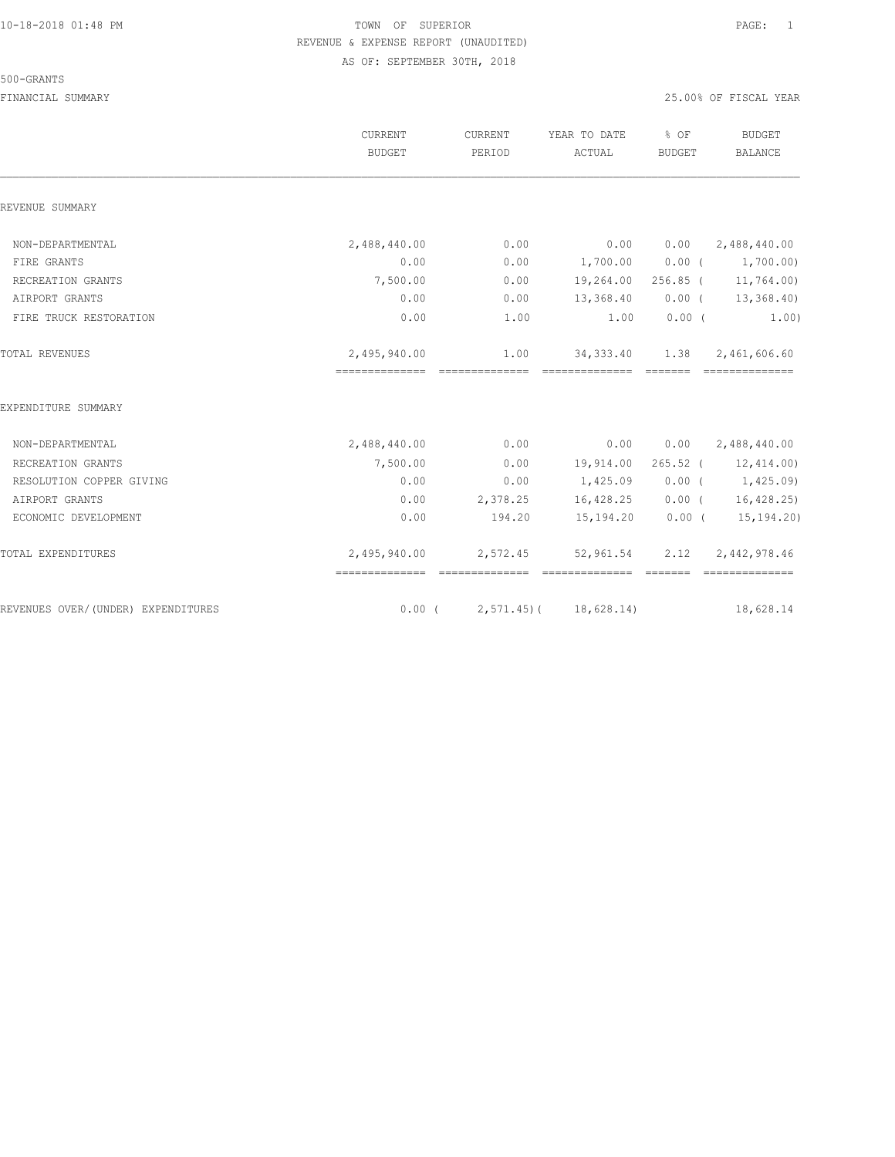#### 500-GRANTS

|                                    | CURRENT<br>BUDGET | CURRENT<br>PERIOD | YEAR TO DATE<br>ACTUAL        | % OF<br><b>BUDGET</b> | <b>BUDGET</b><br><b>BALANCE</b> |
|------------------------------------|-------------------|-------------------|-------------------------------|-----------------------|---------------------------------|
| REVENUE SUMMARY                    |                   |                   |                               |                       |                                 |
| NON-DEPARTMENTAL                   | 2,488,440.00      | 0.00              | 0.00                          | 0.00                  | 2,488,440.00                    |
| FIRE GRANTS                        | 0.00              | 0.00              | 1,700.00                      |                       | $0.00$ ( $1,700.00$ )           |
| RECREATION GRANTS                  | 7,500.00          | 0.00              | 19,264.00 256.85 ( 11,764.00) |                       |                                 |
| AIRPORT GRANTS                     | 0.00              | 0.00              | 13,368.40                     |                       | $0.00$ ( $13,368.40$ )          |
| FIRE TRUCK RESTORATION             | 0.00              | 1.00              | 1.00                          | $0.00$ (              | 1.00)                           |
| TOTAL REVENUES                     | 2,495,940.00      | 1.00              | 34,333.40                     | 1.38                  | 2,461,606.60                    |
| EXPENDITURE SUMMARY                |                   |                   |                               |                       |                                 |
| NON-DEPARTMENTAL                   | 2,488,440.00      | 0.00              | 0.00                          |                       | $0.00 \qquad 2,488,440.00$      |
| RECREATION GRANTS                  | 7,500.00          | 0.00              |                               |                       | 19,914.00 265.52 ( 12,414.00)   |
| RESOLUTION COPPER GIVING           | 0.00              | 0.00              |                               |                       | $1,425.09$ 0.00 ( 1,425.09)     |
| AIRPORT GRANTS                     | 0.00              |                   | 2,378.25 16,428.25            |                       | $0.00$ ( 16,428.25)             |
| ECONOMIC DEVELOPMENT               | 0.00              | 194.20            | 15,194.20                     |                       | $0.00$ ( $15,194.20$ )          |
| TOTAL EXPENDITURES                 | 2,495,940.00      | 2,572.45          | 52,961.54<br>==============   |                       | 2.12 2.442.978.46               |
| REVENUES OVER/(UNDER) EXPENDITURES | $0.00$ (          |                   | $2, 571.45$ ( $18, 628.14$ )  |                       | 18,628.14                       |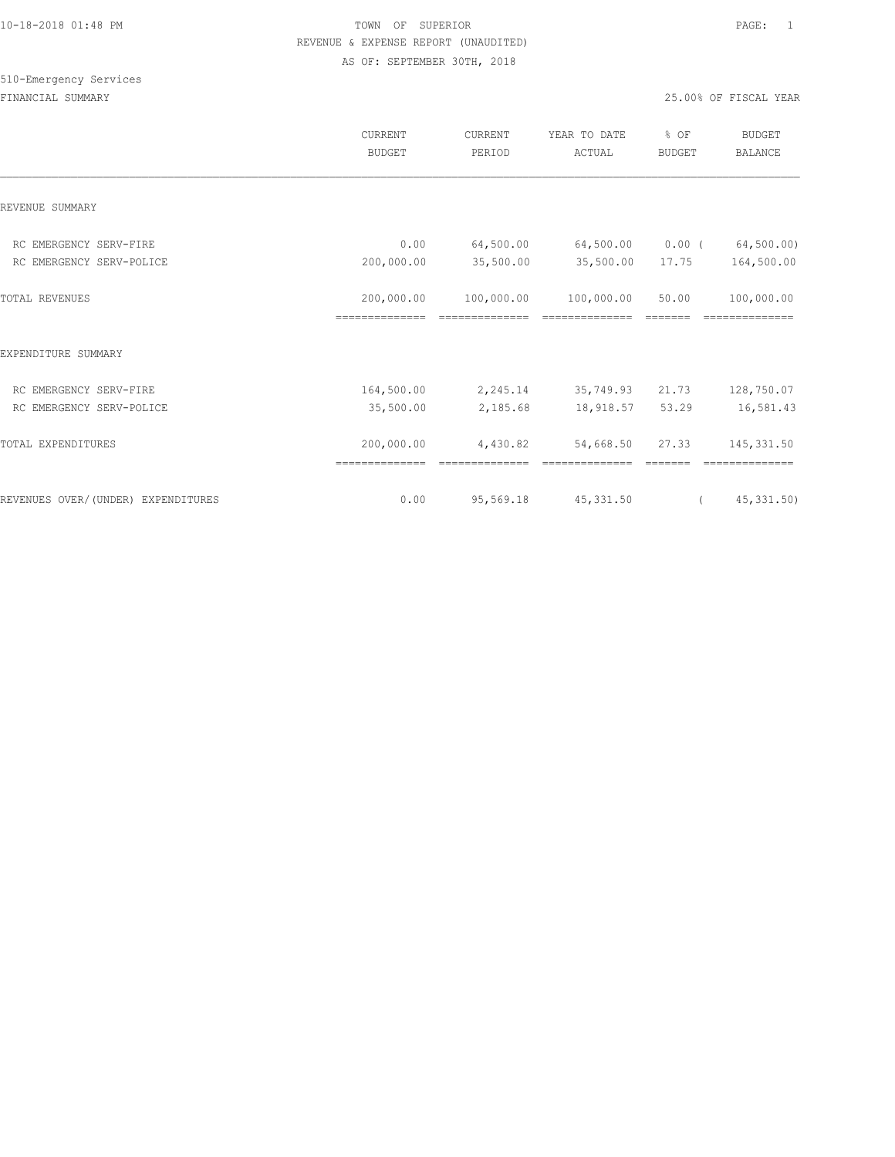## 510-Emergency Services

|                                    | <b>CURRENT</b><br><b>BUDGET</b> | CURRENT<br>PERIOD            | YEAR TO DATE<br>ACTUAL        | % OF<br><b>BUDGET</b> | <b>BUDGET</b><br>BALANCE |
|------------------------------------|---------------------------------|------------------------------|-------------------------------|-----------------------|--------------------------|
| REVENUE SUMMARY                    |                                 |                              |                               |                       |                          |
| RC EMERGENCY SERV-FIRE             | 0.00                            | 64,500.00                    | 64,500.00                     | $0.00$ (              | 64,500.00)               |
| RC EMERGENCY SERV-POLICE           | 200,000.00                      | 35,500.00                    | 35,500.00                     | 17.75                 | 164,500.00               |
| TOTAL REVENUES                     | 200,000.00<br>--------------    | 100,000.00<br>-------------- | 100,000.00<br>--------------- | 50.00                 | 100,000.00               |
| EXPENDITURE SUMMARY                |                                 |                              |                               |                       |                          |
| RC EMERGENCY SERV-FIRE             | 164,500.00                      | 2,245.14                     | 35,749.93                     | 21.73                 | 128,750.07               |
| RC EMERGENCY SERV-POLICE           | 35,500.00                       | 2,185.68                     | 18,918.57                     | 53.29                 | 16,581.43                |
| TOTAL EXPENDITURES                 | 200,000.00                      | 4,430.82                     | 54,668.50                     | 27.33                 | 145, 331.50              |
| REVENUES OVER/(UNDER) EXPENDITURES | 0.00                            | 95,569.18                    | 45, 331.50                    | $\sqrt{2}$            | 45,331.50                |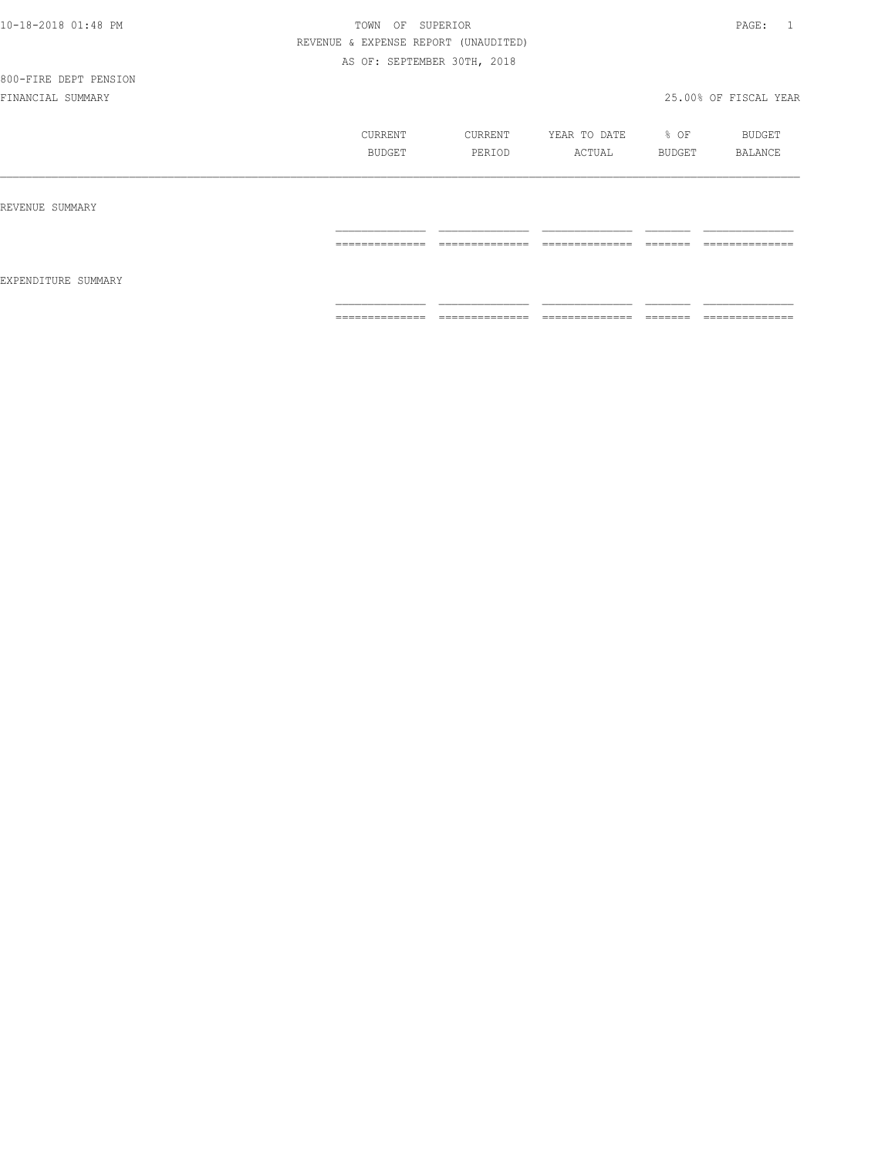|  |  |  |  | 10-18-2018 01:48 PM |
|--|--|--|--|---------------------|

## 800-FIRE DEPT PENSION

|                     | CURRENT<br>BUDGET   | CURRENT<br>PERIOD               | YEAR TO DATE<br>ACTUAL          | % OF<br>BUDGET      | BUDGET<br>BALANCE              |
|---------------------|---------------------|---------------------------------|---------------------------------|---------------------|--------------------------------|
| REVENUE SUMMARY     |                     |                                 |                                 |                     |                                |
|                     | --------------<br>. | ______________<br>.             | ______________<br>------------- | ________<br>======  | ______________<br>------------ |
| EXPENDITURE SUMMARY |                     |                                 |                                 |                     |                                |
|                     | ==============      | ______________<br>------------- | ______________<br>------------- | ________<br>------- | ______________<br>------------ |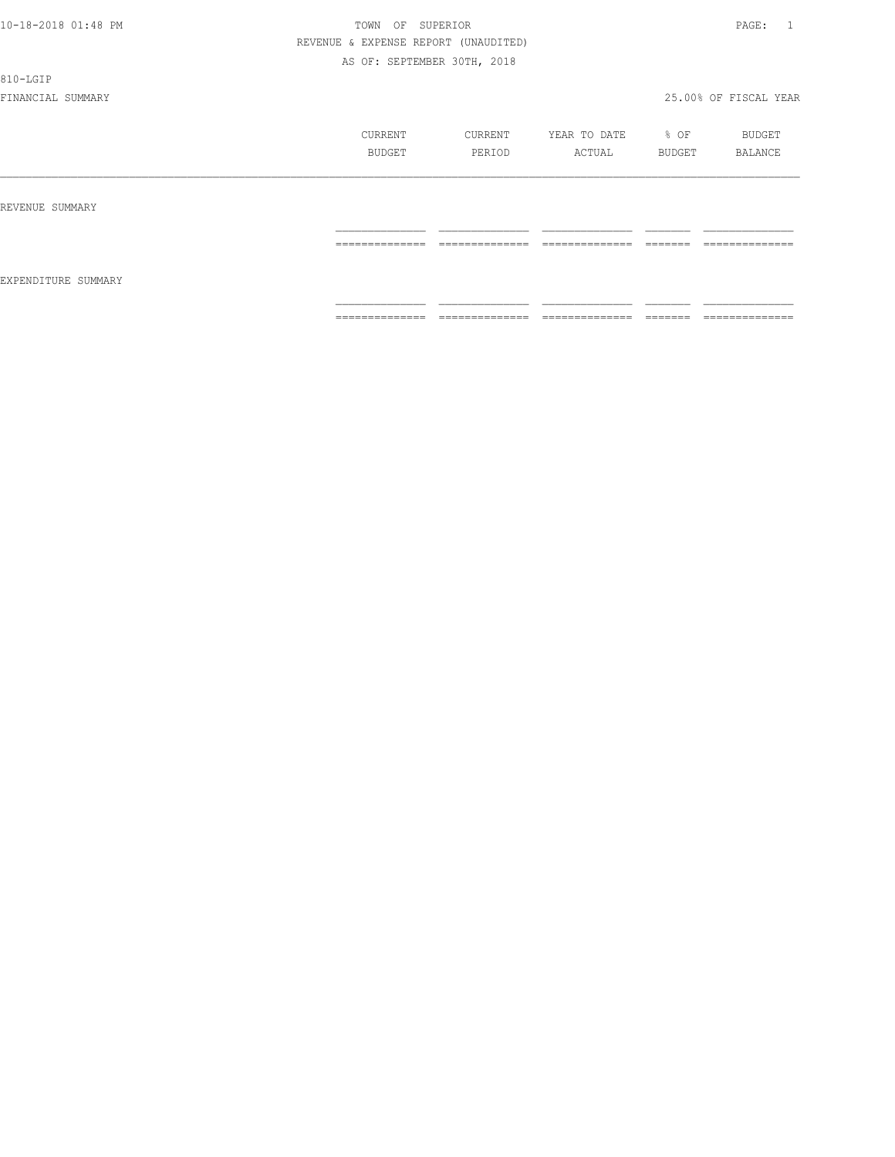#### 810-LGIP

|                     | CURRENT<br>BUDGET | CURRENT<br>PERIOD    | YEAR TO DATE<br>ACTUAL | % OF<br>BUDGET                                                                                                                                                                                                                                                                                                                                                                                                                                                                         | BUDGET<br>BALANCE   |
|---------------------|-------------------|----------------------|------------------------|----------------------------------------------------------------------------------------------------------------------------------------------------------------------------------------------------------------------------------------------------------------------------------------------------------------------------------------------------------------------------------------------------------------------------------------------------------------------------------------|---------------------|
| REVENUE SUMMARY     |                   |                      |                        |                                                                                                                                                                                                                                                                                                                                                                                                                                                                                        |                     |
| EXPENDITURE SUMMARY | ==============    | ---------------<br>. | ---------------<br>.   | -------<br>------                                                                                                                                                                                                                                                                                                                                                                                                                                                                      | --------------<br>. |
|                     | ==============    | ==============       | ==============         | $\begin{array}{cccccccccc} \multicolumn{2}{c}{} & \multicolumn{2}{c}{} & \multicolumn{2}{c}{} & \multicolumn{2}{c}{} & \multicolumn{2}{c}{} & \multicolumn{2}{c}{} & \multicolumn{2}{c}{} & \multicolumn{2}{c}{} & \multicolumn{2}{c}{} & \multicolumn{2}{c}{} & \multicolumn{2}{c}{} & \multicolumn{2}{c}{} & \multicolumn{2}{c}{} & \multicolumn{2}{c}{} & \multicolumn{2}{c}{} & \multicolumn{2}{c}{} & \multicolumn{2}{c}{} & \multicolumn{2}{c}{} & \multicolumn{2}{c}{} & \mult$ | ==============      |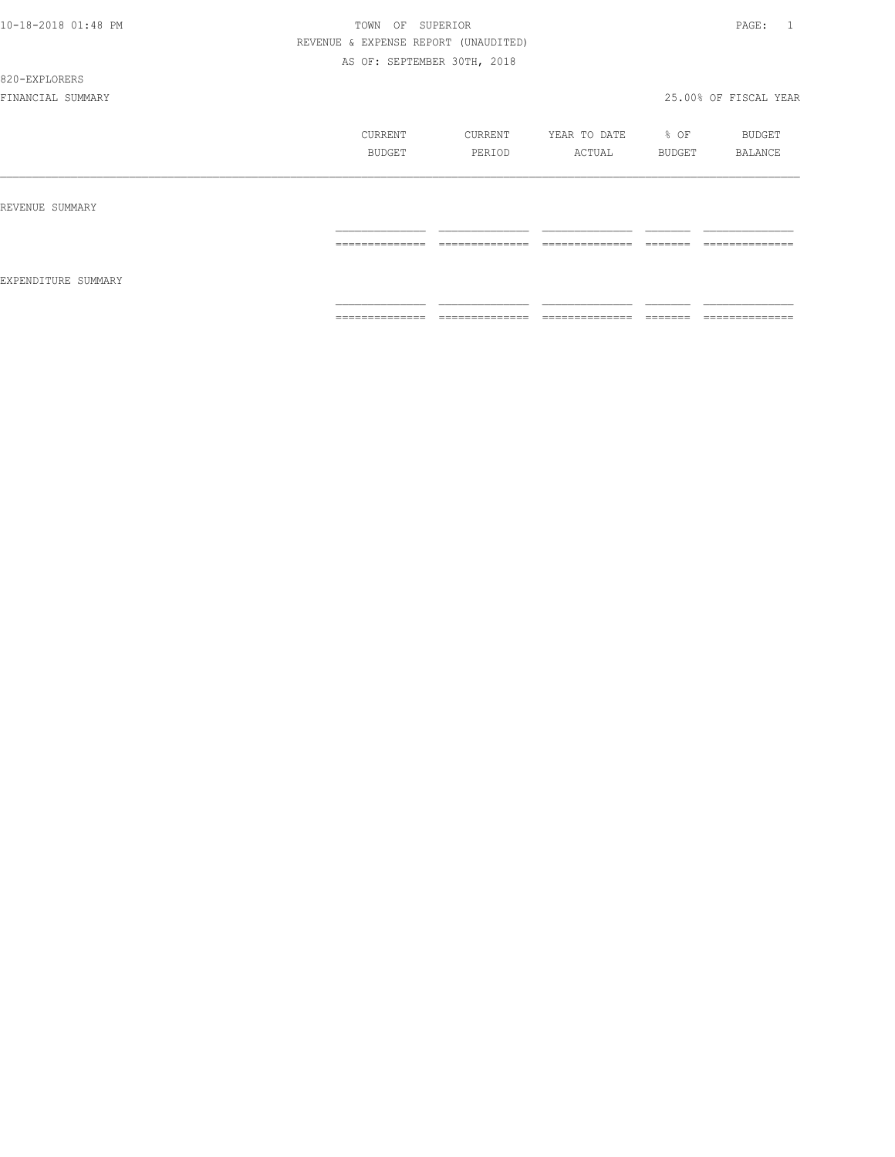#### 820-EXPLORERS

|                     | CURRENT<br>BUDGET                                                                                                                                                                                                                                                                                                                                                                                                                                                                      | CURRENT<br>PERIOD                                                                                                                                                                                                                                                                                                                                                                                                                                                                            | YEAR TO DATE<br>ACTUAL | % OF<br>BUDGET     | BUDGET<br>BALANCE                                                                                                                                                                                                                                                                                                                                                                                                                                                                            |
|---------------------|----------------------------------------------------------------------------------------------------------------------------------------------------------------------------------------------------------------------------------------------------------------------------------------------------------------------------------------------------------------------------------------------------------------------------------------------------------------------------------------|----------------------------------------------------------------------------------------------------------------------------------------------------------------------------------------------------------------------------------------------------------------------------------------------------------------------------------------------------------------------------------------------------------------------------------------------------------------------------------------------|------------------------|--------------------|----------------------------------------------------------------------------------------------------------------------------------------------------------------------------------------------------------------------------------------------------------------------------------------------------------------------------------------------------------------------------------------------------------------------------------------------------------------------------------------------|
| REVENUE SUMMARY     |                                                                                                                                                                                                                                                                                                                                                                                                                                                                                        |                                                                                                                                                                                                                                                                                                                                                                                                                                                                                              |                        |                    |                                                                                                                                                                                                                                                                                                                                                                                                                                                                                              |
|                     | --------------<br>---------------                                                                                                                                                                                                                                                                                                                                                                                                                                                      | --------------<br>---------------                                                                                                                                                                                                                                                                                                                                                                                                                                                            | ==============         | -------<br>------- | --------------<br>---------------                                                                                                                                                                                                                                                                                                                                                                                                                                                            |
| EXPENDITURE SUMMARY |                                                                                                                                                                                                                                                                                                                                                                                                                                                                                        |                                                                                                                                                                                                                                                                                                                                                                                                                                                                                              |                        |                    |                                                                                                                                                                                                                                                                                                                                                                                                                                                                                              |
|                     | $\begin{array}{cccccccccc} \multicolumn{2}{c}{} & \multicolumn{2}{c}{} & \multicolumn{2}{c}{} & \multicolumn{2}{c}{} & \multicolumn{2}{c}{} & \multicolumn{2}{c}{} & \multicolumn{2}{c}{} & \multicolumn{2}{c}{} & \multicolumn{2}{c}{} & \multicolumn{2}{c}{} & \multicolumn{2}{c}{} & \multicolumn{2}{c}{} & \multicolumn{2}{c}{} & \multicolumn{2}{c}{} & \multicolumn{2}{c}{} & \multicolumn{2}{c}{} & \multicolumn{2}{c}{} & \multicolumn{2}{c}{} & \multicolumn{2}{c}{} & \mult$ | $\begin{array}{c} \multicolumn{2}{c} {\textbf{1}} & \multicolumn{2}{c} {\textbf{2}} & \multicolumn{2}{c} {\textbf{3}} & \multicolumn{2}{c} {\textbf{4}} \\ \multicolumn{2}{c} {\textbf{2}} & \multicolumn{2}{c} {\textbf{3}} & \multicolumn{2}{c} {\textbf{4}} & \multicolumn{2}{c} {\textbf{5}} & \multicolumn{2}{c} {\textbf{6}} \\ \multicolumn{2}{c} {\textbf{4}} & \multicolumn{2}{c} {\textbf{5}} & \multicolumn{2}{c} {\textbf{6}} & \multicolumn{2}{c} {\textbf{6}} & \multicolumn{$ |                        |                    | $\begin{array}{c} \multicolumn{2}{c} {\textbf{1}} & \multicolumn{2}{c} {\textbf{2}} & \multicolumn{2}{c} {\textbf{3}} & \multicolumn{2}{c} {\textbf{4}} \\ \multicolumn{2}{c} {\textbf{5}} & \multicolumn{2}{c} {\textbf{6}} & \multicolumn{2}{c} {\textbf{7}} & \multicolumn{2}{c} {\textbf{8}} & \multicolumn{2}{c} {\textbf{9}} \\ \multicolumn{2}{c} {\textbf{6}} & \multicolumn{2}{c} {\textbf{7}} & \multicolumn{2}{c} {\textbf{8}} & \multicolumn{2}{c} {\textbf{9}} & \multicolumn{$ |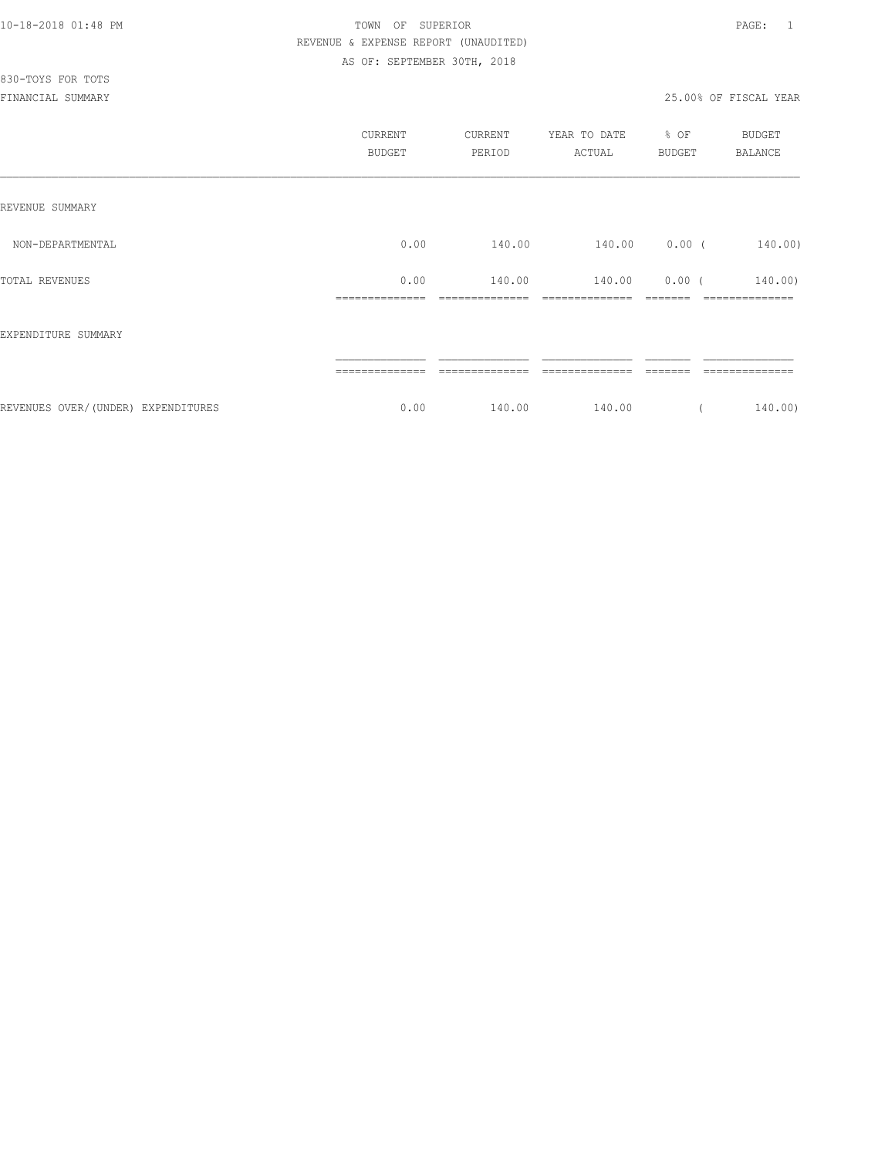## 830-TOYS FOR TOTS

|                                    | CURRENT<br><b>BUDGET</b> | CURRENT<br>PERIOD | YEAR TO DATE<br>ACTUAL | % OF<br>BUDGET | <b>BUDGET</b><br>BALANCE |
|------------------------------------|--------------------------|-------------------|------------------------|----------------|--------------------------|
| REVENUE SUMMARY                    |                          |                   |                        |                |                          |
| NON-DEPARTMENTAL                   | 0.00                     | 140.00            | 140.00                 | $0.00$ (       | 140.00)                  |
| TOTAL REVENUES                     | 0.00                     | 140.00            | 140.00                 | $0.00$ (       | 140.00)                  |
| EXPENDITURE SUMMARY                |                          |                   |                        |                |                          |
|                                    |                          |                   |                        |                |                          |
| REVENUES OVER/(UNDER) EXPENDITURES | 0.00                     | 140.00            | 140.00                 |                | 140.00)                  |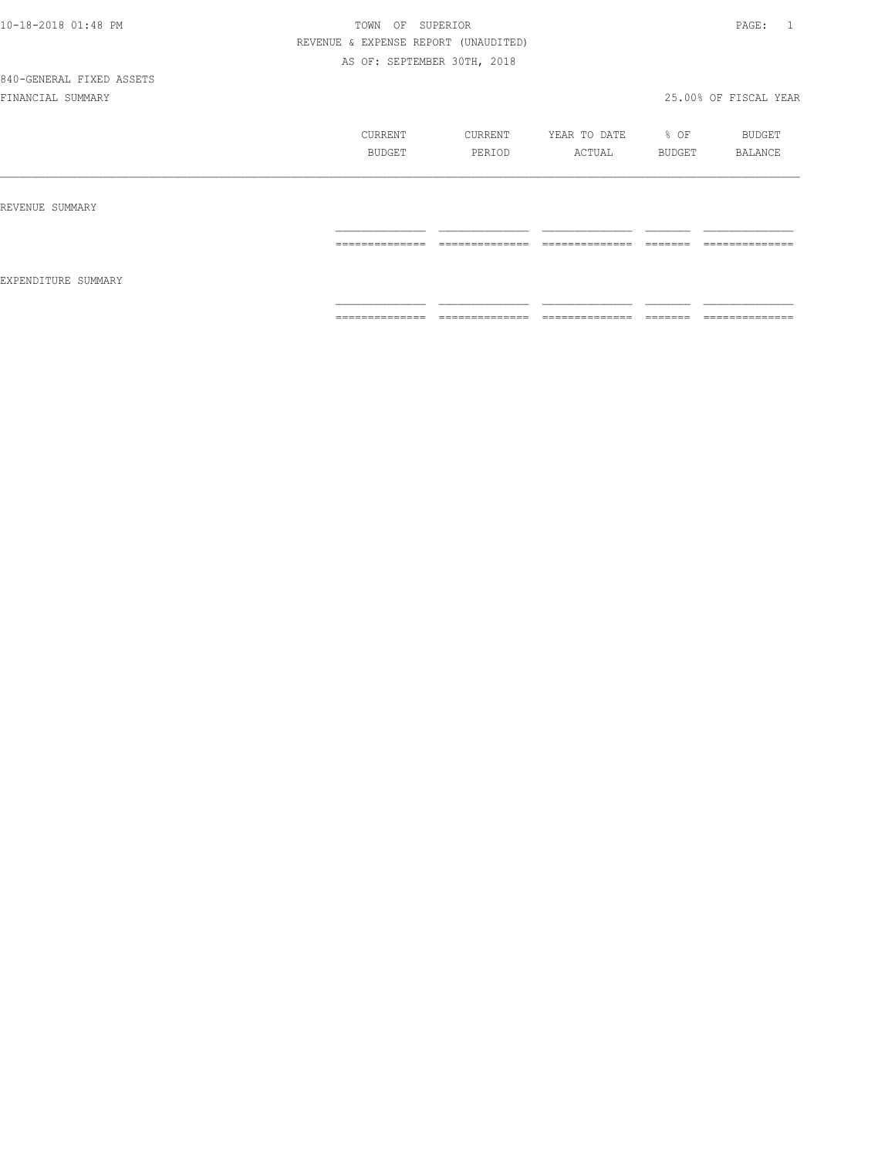|  | 10-18-2018 01:48 PM |  |
|--|---------------------|--|

# 840-GENERAL FIXED ASSETS

|                     | CURRENT<br>BUDGET   | CURRENT<br>PERIOD   | YEAR TO DATE<br>ACTUAL | % OF<br>BUDGET      | BUDGET<br><b>BALANCE</b> |
|---------------------|---------------------|---------------------|------------------------|---------------------|--------------------------|
| REVENUE SUMMARY     |                     |                     |                        |                     |                          |
| EXPENDITURE SUMMARY | ______________<br>. | ______________<br>. | ______________<br>.    | --------<br>------- | ______________<br>.      |
|                     | ==============      | --------------<br>. | ---------------<br>.   | --------<br>------- | --------------<br>.      |